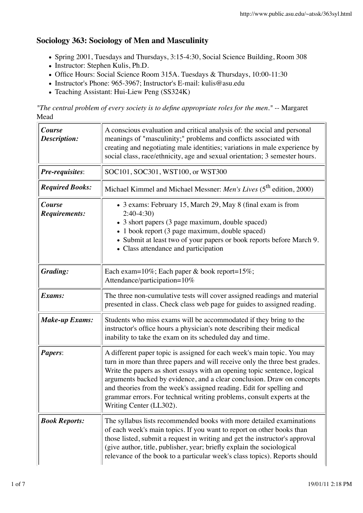## **Sociology 363: Sociology of Men and Masculinity**

- Spring 2001, Tuesdays and Thursdays, 3:15-4:30, Social Science Building, Room 308
- Instructor: Stephen Kulis, Ph.D.
- Office Hours: Social Science Room 315A. Tuesdays & Thursdays, 10:00-11:30
- Instructor's Phone: 965-3967; Instructor's E-mail: kulis@asu.edu
- Teaching Assistant: Hui-Liew Peng (SS324K)

*"The central problem of every society is to define appropriate roles for the men." --* Margaret Mead

| Course<br>Description:         | A conscious evaluation and critical analysis of: the social and personal<br>meanings of "masculinity;" problems and conflicts associated with<br>creating and negotiating male identities; variations in male experience by<br>social class, race/ethnicity, age and sexual orientation; 3 semester hours.                                                                                                                                                                                |  |
|--------------------------------|-------------------------------------------------------------------------------------------------------------------------------------------------------------------------------------------------------------------------------------------------------------------------------------------------------------------------------------------------------------------------------------------------------------------------------------------------------------------------------------------|--|
| <b>Pre-requisites:</b>         | SOC101, SOC301, WST100, or WST300                                                                                                                                                                                                                                                                                                                                                                                                                                                         |  |
| <b>Required Books:</b>         | Michael Kimmel and Michael Messner: Men's Lives (5 <sup>th</sup> edition, 2000)                                                                                                                                                                                                                                                                                                                                                                                                           |  |
| Course<br><b>Requirements:</b> | • 3 exams: February 15, March 29, May 8 (final exam is from<br>$2:40-4:30$<br>• 3 short papers (3 page maximum, double spaced)<br>• 1 book report (3 page maximum, double spaced)<br>• Submit at least two of your papers or book reports before March 9.<br>• Class attendance and participation                                                                                                                                                                                         |  |
| <b>Grading:</b>                | Each exam=10%; Each paper & book report=15%;<br>Attendance/participation=10%                                                                                                                                                                                                                                                                                                                                                                                                              |  |
| Exams:                         | The three non-cumulative tests will cover assigned readings and material<br>presented in class. Check class web page for guides to assigned reading.                                                                                                                                                                                                                                                                                                                                      |  |
| <b>Make-up Exams:</b>          | Students who miss exams will be accommodated if they bring to the<br>instructor's office hours a physician's note describing their medical<br>inability to take the exam on its scheduled day and time.                                                                                                                                                                                                                                                                                   |  |
| <b>Papers:</b>                 | A different paper topic is assigned for each week's main topic. You may<br>turn in more than three papers and will receive only the three best grades.<br>Write the papers as short essays with an opening topic sentence, logical<br>arguments backed by evidence, and a clear conclusion. Draw on concepts<br>and theories from the week's assigned reading. Edit for spelling and<br>grammar errors. For technical writing problems, consult experts at the<br>Writing Center (LL302). |  |
| <b>Book Reports:</b>           | The syllabus lists recommended books with more detailed examinations<br>of each week's main topics. If you want to report on other books than<br>those listed, submit a request in writing and get the instructor's approval<br>(give author, title, publisher, year; briefly explain the sociological<br>relevance of the book to a particular week's class topics). Reports should                                                                                                      |  |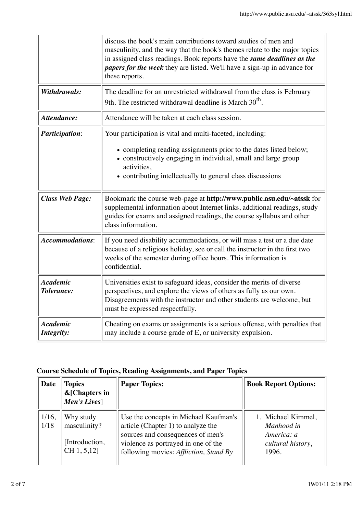|                               | discuss the book's main contributions toward studies of men and<br>masculinity, and the way that the book's themes relate to the major topics<br>in assigned class readings. Book reports have the same deadlines as the<br><i>papers for the week</i> they are listed. We'll have a sign-up in advance for<br>these reports. |  |
|-------------------------------|-------------------------------------------------------------------------------------------------------------------------------------------------------------------------------------------------------------------------------------------------------------------------------------------------------------------------------|--|
| Withdrawals:                  | The deadline for an unrestricted withdrawal from the class is February<br>9th. The restricted withdrawal deadline is March 30 <sup>th</sup> .                                                                                                                                                                                 |  |
| Attendance:                   | Attendance will be taken at each class session.                                                                                                                                                                                                                                                                               |  |
| <b>Participation:</b>         | Your participation is vital and multi-faceted, including:<br>• completing reading assignments prior to the dates listed below;<br>• constructively engaging in individual, small and large group<br>activities,<br>• contributing intellectually to general class discussions                                                 |  |
| <b>Class Web Page:</b>        | Bookmark the course web-page at http://www.public.asu.edu/~atssk for<br>supplemental information about Internet links, additional readings, study<br>guides for exams and assigned readings, the course syllabus and other<br>class information.                                                                              |  |
| <b>Accommodations:</b>        | If you need disability accommodations, or will miss a test or a due date<br>because of a religious holiday, see or call the instructor in the first two<br>weeks of the semester during office hours. This information is<br>confidential.                                                                                    |  |
| <b>Academic</b><br>Tolerance: | Universities exist to safeguard ideas, consider the merits of diverse<br>perspectives, and explore the views of others as fully as our own.<br>Disagreements with the instructor and other students are welcome, but<br>must be expressed respectfully.                                                                       |  |
| <b>Academic</b><br>Integrity: | Cheating on exams or assignments is a serious offense, with penalties that<br>may include a course grade of E, or university expulsion.                                                                                                                                                                                       |  |

## **Course Schedule of Topics, Reading Assignments, and Paper Topics**

| Date             | <b>Topics</b><br>&[Chapters in<br>Men's Lives | <b>Paper Topics:</b>                                                                                             | <b>Book Report Options:</b>                    |
|------------------|-----------------------------------------------|------------------------------------------------------------------------------------------------------------------|------------------------------------------------|
| $1/16$ ,<br>1/18 | Why study<br>masculinity?                     | Use the concepts in Michael Kaufman's<br>article (Chapter 1) to analyze the<br>sources and consequences of men's | 1. Michael Kimmel,<br>Manhood in<br>America: a |
|                  | [Introduction,<br>CH 1, 5,12]                 | violence as portrayed in one of the<br>following movies: Affliction, Stand By                                    | cultural history,<br>1996.                     |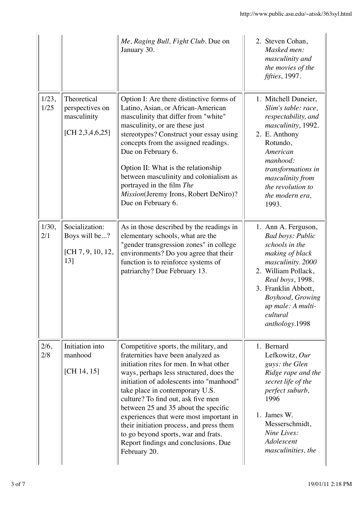|               |                                                                     | Me, Raging Bull, Fight Club. Due on<br>January 30.                                                                                                                                                                                                                                                                                                                                                                                                                                                                   | 2. Steven Cohan,<br>Masked men:<br>masculinity and<br>the movies of the<br>fifties, 1997.                                                                                                                                                         |
|---------------|---------------------------------------------------------------------|----------------------------------------------------------------------------------------------------------------------------------------------------------------------------------------------------------------------------------------------------------------------------------------------------------------------------------------------------------------------------------------------------------------------------------------------------------------------------------------------------------------------|---------------------------------------------------------------------------------------------------------------------------------------------------------------------------------------------------------------------------------------------------|
| 1/23,<br>1/25 | Theoretical<br>perspectives on<br>masculinity<br>[CH $2,3,4,6,25$ ] | Option I: Are there distinctive forms of<br>Latino, Asian, or African-American<br>masculinity that differ from "white"<br>masculinity, or are these just<br>stereotypes? Construct your essay using<br>concepts from the assigned readings.<br>Due on February 6.<br>Option II: What is the relationship<br>between masculinity and colonialism as<br>portrayed in the film The<br>Mission(Jeremy Irons, Robert DeNiro)?<br>Due on February 6.                                                                       | 1. Mitchell Duneier,<br>Slim's table: race,<br>respectability, and<br>masculinity, 1992.<br>2. E. Anthony<br>Rotundo,<br>American<br>manhood:<br>transformations in<br>masculinity from<br>the revolution to<br>the modern era,<br>1993.          |
| 1/30,<br>2/1  | Socialization:<br>Boys will be?<br>[CH 7, 9, 10, 12,<br>13]         | As in those described by the readings in<br>elementary schools, what are the<br>"gender transgression zones" in college<br>environments? Do you agree that their<br>function is to reinforce systems of<br>patriarchy? Due February 13.                                                                                                                                                                                                                                                                              | 1. Ann A. Ferguson,<br><b>Bad boys: Public</b><br>schools in the<br>making of black<br>masculinity. 2000<br>2. William Pollack,<br>Real boys, 1998.<br>3. Franklin Abbott,<br>Boyhood, Growing<br>up male: A multi-<br>cultural<br>anthology.1998 |
| 2/6,<br>2/8   | Initiation into<br>manhood<br>[CH 14, 15]                           | Competitive sports, the military, and<br>fraternities have been analyzed as<br>initiation rites for men. In what other<br>ways, perhaps less structured, does the<br>initiation of adolescents into "manhood"<br>take place in contemporary U.S.<br>culture? To find out, ask five men<br>between 25 and 35 about the specific<br>experiences that were most important in<br>their initiation process, and press them<br>to go beyond sports, war and frats.<br>Report findings and conclusions. Due<br>February 20. | 1. Bernard<br>Lefkowitz, Our<br>guys: the Glen<br>Ridge rape and the<br>secret life of the<br>perfect suburb,<br>1996<br>1. James W.<br>Messerschmidt,<br>Nine Lives:<br>Adolescent<br>masculinities, the                                         |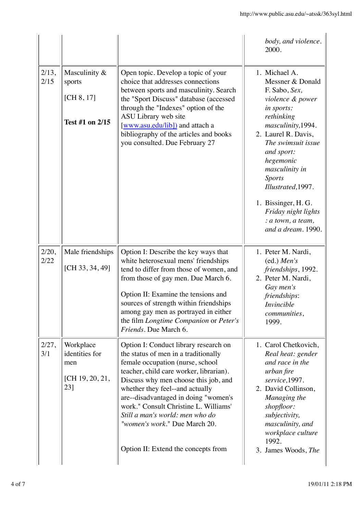|               |                                                              |                                                                                                                                                                                                                                                                                                                                                                                                                                     | body, and violence.<br>2000.                                                                                                                                                                                                                                                                                                                       |
|---------------|--------------------------------------------------------------|-------------------------------------------------------------------------------------------------------------------------------------------------------------------------------------------------------------------------------------------------------------------------------------------------------------------------------------------------------------------------------------------------------------------------------------|----------------------------------------------------------------------------------------------------------------------------------------------------------------------------------------------------------------------------------------------------------------------------------------------------------------------------------------------------|
| 2/13,<br>2/15 | Masculinity &<br>sports<br>[CH 8, 17]<br>Test #1 on 2/15     | Open topic. Develop a topic of your<br>choice that addresses connections<br>between sports and masculinity. Search<br>the "Sport Discuss" database (accessed<br>through the "Indexes" option of the<br>ASU Library web site<br>[www.asu.edu/lib]) and attach a<br>bibliography of the articles and books<br>you consulted. Due February 27                                                                                          | 1. Michael A.<br>Messner & Donald<br>F. Sabo, Sex,<br>violence & power<br>in sports:<br>rethinking<br>masculinity, 1994.<br>2. Laurel R. Davis,<br>The swimsuit issue<br>and sport:<br>hegemonic<br>masculinity in<br><b>Sports</b><br>Illustrated, 1997.<br>1. Bissinger, H. G.<br>Friday night lights<br>: a town, a team,<br>and a dream. 1990. |
| 2/20,<br>2/22 | Male friendships<br>[CH 33, 34, 49]                          | Option I: Describe the key ways that<br>white heterosexual mens' friendships<br>tend to differ from those of women, and<br>from those of gay men. Due March 6.<br>Option II: Examine the tensions and<br>sources of strength within friendships<br>among gay men as portrayed in either<br>the film Longtime Companion or Peter's<br>Friends. Due March 6.                                                                          | 1. Peter M. Nardi,<br>(ed.) Men's<br>friendships, 1992.<br>2. Peter M. Nardi,<br>Gay men's<br>friendships:<br><i>Invincible</i><br><i>communities,</i><br>1999.                                                                                                                                                                                    |
| 2/27,<br>3/1  | Workplace<br>identities for<br>men<br>[CH 19, 20, 21,<br>23] | Option I: Conduct library research on<br>the status of men in a traditionally<br>female occupation (nurse, school<br>teacher, child care worker, librarian).<br>Discuss why men choose this job, and<br>whether they feel--and actually<br>are--disadvantaged in doing "women's<br>work." Consult Christine L. Williams'<br>Still a man's world: men who do<br>"women's work." Due March 20.<br>Option II: Extend the concepts from | 1. Carol Chetkovich,<br>Real heat: gender<br>and race in the<br>urban fire<br>service, 1997.<br>2. David Collinson,<br>Managing the<br>shopfloor:<br>subjectivity,<br>masculinity, and<br>workplace culture<br>1992.<br>3. James Woods, The                                                                                                        |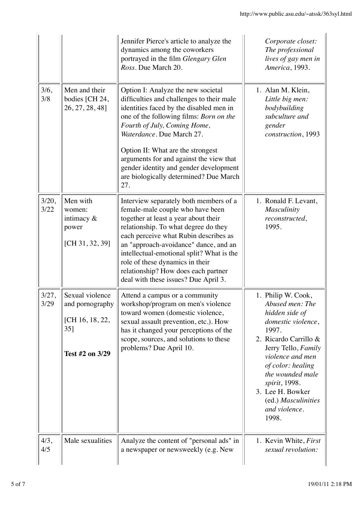|               |                                                                                    | Jennifer Pierce's article to analyze the<br>dynamics among the coworkers<br>portrayed in the film Glengary Glen<br>Ross. Due March 20.                                                                                                                                                                                                                                                                        | Corporate closet:<br>The professional<br>lives of gay men in<br>America, 1993.                                                                                                                                                                                                            |
|---------------|------------------------------------------------------------------------------------|---------------------------------------------------------------------------------------------------------------------------------------------------------------------------------------------------------------------------------------------------------------------------------------------------------------------------------------------------------------------------------------------------------------|-------------------------------------------------------------------------------------------------------------------------------------------------------------------------------------------------------------------------------------------------------------------------------------------|
| 3/6,<br>3/8   | Men and their<br>bodies [CH 24,<br>26, 27, 28, 48]                                 | Option I: Analyze the new societal<br>difficulties and challenges to their male<br>identities faced by the disabled men in<br>one of the following films: Born on the<br>Fourth of July, Coming Home,<br>Waterdance. Due March 27.<br>Option II: What are the strongest<br>arguments for and against the view that<br>gender identity and gender development<br>are biologically determined? Due March<br>27. | 1. Alan M. Klein,<br>Little big men:<br>bodybuilding<br>subculture and<br>gender<br>construction, 1993                                                                                                                                                                                    |
| 3/20,<br>3/22 | Men with<br>women:<br>intimacy $\&$<br>power<br>[CH 31, 32, 39]                    | Interview separately both members of a<br>female-male couple who have been<br>together at least a year about their<br>relationship. To what degree do they<br>each perceive what Rubin describes as<br>an "approach-avoidance" dance, and an<br>intellectual-emotional split? What is the<br>role of these dynamics in their<br>relationship? How does each partner<br>deal with these issues? Due April 3.   | 1. Ronald F. Levant,<br><b>Masculinity</b><br>reconstructed,<br>1995.                                                                                                                                                                                                                     |
| 3/27,<br>3/29 | Sexual violence<br>and pornography<br>[CH 16, 18, 22,<br>$35$ ]<br>Test #2 on 3/29 | Attend a campus or a community<br>workshop/program on men's violence<br>toward women (domestic violence,<br>sexual assault prevention, etc.). How<br>has it changed your perceptions of the<br>scope, sources, and solutions to these<br>problems? Due April 10.                                                                                                                                              | 1. Philip W. Cook,<br>Abused men: The<br>hidden side of<br>domestic violence,<br>1997.<br>2. Ricardo Carrillo &<br>Jerry Tello, Family<br>violence and men<br>of color: healing<br>the wounded male<br>spirit, 1998.<br>3. Lee H. Bowker<br>(ed.) Masculinities<br>and violence.<br>1998. |
| 4/3,<br>4/5   | Male sexualities                                                                   | Analyze the content of "personal ads" in<br>a newspaper or newsweekly (e.g. New                                                                                                                                                                                                                                                                                                                               | 1. Kevin White, First<br>sexual revolution:                                                                                                                                                                                                                                               |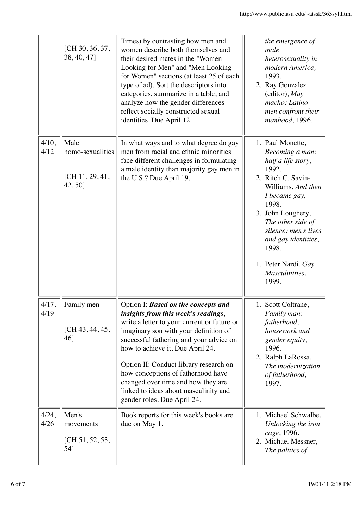|                  | [CH 30, 36, 37,<br>38, 40, 47]                        | Times) by contrasting how men and<br>women describe both themselves and<br>their desired mates in the "Women<br>Looking for Men" and "Men Looking<br>for Women" sections (at least 25 of each<br>type of ad). Sort the descriptors into<br>categories, summarize in a table, and<br>analyze how the gender differences<br>reflect socially constructed sexual<br>identities. Due April 12.                                                      | the emergence of<br>male<br>heterosexuality in<br>modern America,<br>1993.<br>2. Ray Gonzalez<br>$(editor)$ , $Muy$<br>macho: Latino<br>men confront their<br>manhood, 1996.                                                                                                                 |
|------------------|-------------------------------------------------------|-------------------------------------------------------------------------------------------------------------------------------------------------------------------------------------------------------------------------------------------------------------------------------------------------------------------------------------------------------------------------------------------------------------------------------------------------|----------------------------------------------------------------------------------------------------------------------------------------------------------------------------------------------------------------------------------------------------------------------------------------------|
| 4/10,<br>4/12    | Male<br>homo-sexualities<br>[CH 11, 29, 41,<br>42,50] | In what ways and to what degree do gay<br>men from racial and ethnic minorities<br>face different challenges in formulating<br>a male identity than majority gay men in<br>the U.S.? Due April 19.                                                                                                                                                                                                                                              | 1. Paul Monette,<br>Becoming a man:<br>half a life story,<br>1992.<br>2. Ritch C. Savin-<br>Williams, And then<br>I became gay,<br>1998.<br>3. John Loughery,<br>The other side of<br>silence: men's lives<br>and gay identities,<br>1998.<br>1. Peter Nardi, Gay<br>Masculinities,<br>1999. |
| $4/17$ .<br>4/19 | Family men<br>[CH 43, 44, 45,<br>46]                  | Option I: Based on the concepts and<br>insights from this week's readings,<br>write a letter to your current or future or<br>imaginary son with your definition of<br>successful fathering and your advice on<br>how to achieve it. Due April 24.<br>Option II: Conduct library research on<br>how conceptions of fatherhood have<br>changed over time and how they are<br>linked to ideas about masculinity and<br>gender roles. Due April 24. | 1. Scott Coltrane.<br>Family man:<br>fatherhood,<br>housework and<br>gender equity,<br>1996.<br>2. Ralph LaRossa,<br>The modernization<br>of fatherhood,<br>1997.                                                                                                                            |
| 4/24,<br>4/26    | Men's<br>movements<br>[CH 51, 52, 53,<br>54]          | Book reports for this week's books are<br>due on May 1.                                                                                                                                                                                                                                                                                                                                                                                         | 1. Michael Schwalbe,<br>Unlocking the iron<br>cage, 1996.<br>2. Michael Messner,<br>The politics of                                                                                                                                                                                          |